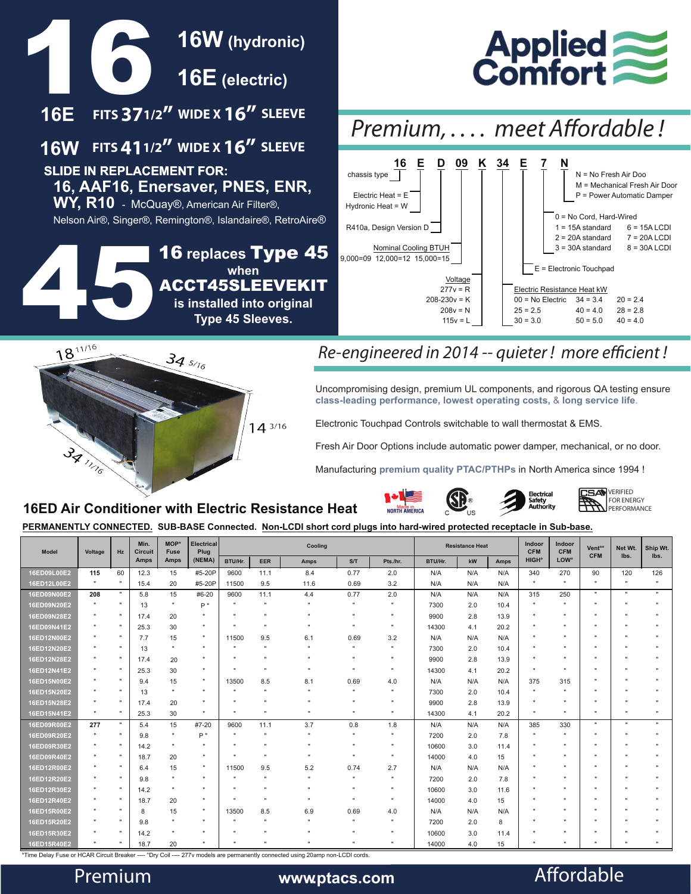



## Re-engineered in 2014 -- quieter ! more efficient !

Uncompromising design, premium UL components, and rigorous QA testing ensure **class-leading performance, lowest operating costs,** & **long service life**.

Electronic Touchpad Controls switchable to wall thermostat & EMS.

Fresh Air Door Options include automatic power damper, mechanical, or no door.

Manufacturing **premium quality PTAC/PTHPs** in North America since 1994 !

### **16ED Air Conditioner with Electric Resistance Heat**





**CSA**VERIFIED FOR ENERGY PERFORMANCE

#### **PERMANENTLY CONNECTED. SUB-BASE Connected. Non-LCDI short cord plugs into hard-wired protected receptacle in Sub-base.**

| Model       | Voltage      | <b>Hz</b>      |             |              |                |              |            |              |              |              |         |     | Min.<br>Circuit | MOP*<br><b>Fuse</b> | <b>Electrical</b><br>Plug |                |              | Cooling | <b>Resistance Heat</b> |  |  | Indoor<br><b>CFM</b> | <b>Indoor</b><br><b>CFM</b> | Vent**<br><b>CFM</b> | Net Wt.<br>lbs. | Ship Wt.<br>lbs. |
|-------------|--------------|----------------|-------------|--------------|----------------|--------------|------------|--------------|--------------|--------------|---------|-----|-----------------|---------------------|---------------------------|----------------|--------------|---------|------------------------|--|--|----------------------|-----------------------------|----------------------|-----------------|------------------|
|             |              |                | <b>Amps</b> | Amps         | (NEMA)         | BTU/Hr.      | <b>EER</b> | <b>Amps</b>  | S/T          | Pts./hr.     | BTU/Hr. | kW  | Amps            | <b>HIGH°</b>        | <b>LOW</b> <sup>o</sup>   |                |              |         |                        |  |  |                      |                             |                      |                 |                  |
| 16ED09L00E2 | 115          | 60             | 12.3        | 15           | #5-20P         | 9600         | 11.1       | 8.4          | 0.77         | 2.0          | N/A     | N/A | N/A             | 340                 | 270                       | 90             | 120          | 126     |                        |  |  |                      |                             |                      |                 |                  |
| 16ED12L00E2 | $\mathbf{u}$ | $\mathbf{u}$   | 15.4        | 20           | #5-20P         | 11500        | 9.5        | 11.6         | 0.69         | 3.2          | N/A     | N/A | N/A             |                     | $\mathbf{u}$              | $\blacksquare$ | $\mathbf{u}$ |         |                        |  |  |                      |                             |                      |                 |                  |
| 16ED09N00E2 | 208          | $\mathbf{u}$   | 5.8         | 15           | #6-20          | 9600         | 11.1       | 4.4          | 0.77         | 2.0          | N/A     | N/A | N/A             | 315                 | 250                       | $\mathbf{u}$   | $\mathbf{u}$ |         |                        |  |  |                      |                             |                      |                 |                  |
| 16ED09N20E2 |              | $\mathbf{u}$   | 13          |              | p"             | $\mathbf{u}$ |            |              |              |              | 7300    | 2.0 | 10.4            |                     | $\mathbf{u}$              |                |              |         |                        |  |  |                      |                             |                      |                 |                  |
| 16ED09N28E2 |              | $\mathbf{u}$ . | 17.4        | 20           |                |              |            |              |              | $\mathbf{u}$ | 9900    | 2.8 | 13.9            |                     | $\mathbf{u}$              |                |              |         |                        |  |  |                      |                             |                      |                 |                  |
| 16ED09N41E2 |              | $\mathbf{u}$   | 25.3        | 30           | $\mathbf{u}$   |              |            |              |              | $\mathbf{u}$ | 14300   | 4.1 | 20.2            |                     | $\mathbf{u}$              |                |              |         |                        |  |  |                      |                             |                      |                 |                  |
| 16ED12N00E2 |              | $\mathbf{u}$   | 7.7         | 15           |                | 11500        | 9.5        | 6.1          | 0.69         | 3.2          | N/A     | N/A | N/A             |                     | $\mathbf{u}$              |                |              |         |                        |  |  |                      |                             |                      |                 |                  |
| 16ED12N20E2 |              | $\mathbf{u}$   | 13          |              |                | $\mathbf{u}$ |            |              |              | $\mathbf{u}$ | 7300    | 2.0 | 10.4            |                     | $\mathbf{u}$              |                |              |         |                        |  |  |                      |                             |                      |                 |                  |
| 16ED12N28E2 |              | $\mathbf{u}$ . | 17.4        | 20           |                |              |            |              |              | $\mathbf{u}$ | 9900    | 2.8 | 13.9            |                     | $\mathbf{u}$              |                |              |         |                        |  |  |                      |                             |                      |                 |                  |
| 16ED12N41E2 |              | $\mathbf{u}$   | 25.3        | 30           | $\mathbf{u}$   |              |            |              |              | $\mathbf{u}$ | 14300   | 4.1 | 20.2            |                     | $\mathbf{u}$              |                |              |         |                        |  |  |                      |                             |                      |                 |                  |
| 16ED15N00E2 |              | $\mathbf{u}$ . | 9.4         | 15           | $\mathbf{u}$ . | 13500        | 8.5        | 8.1          | 0.69         | 4.0          | N/A     | N/A | N/A             | 375                 | 315                       |                |              |         |                        |  |  |                      |                             |                      |                 |                  |
| 16ED15N20E2 |              | $\mathbf{u}$   | 13          |              | $\mathbf{u}$   |              |            |              |              |              | 7300    | 2.0 | 10.4            |                     | $\mathbf{u}$              |                |              |         |                        |  |  |                      |                             |                      |                 |                  |
| 16ED15N28E2 |              | $\mathbf{u}$   | 17.4        | 20           |                |              |            |              |              | $\mathbf{u}$ | 9900    | 2.8 | 13.9            |                     | $\mathbf{u}$              |                |              |         |                        |  |  |                      |                             |                      |                 |                  |
| 16ED15N41E2 | $\mathbf{u}$ | $\mathbf{u}$ . | 25.3        | 30           | $\mathbf{u}$   | $\mathbf{u}$ |            |              | $\mathbf{u}$ | $\mathbf{u}$ | 14300   | 4.1 | 20.2            |                     | $\mathbf{u}$              |                |              |         |                        |  |  |                      |                             |                      |                 |                  |
| 16ED09R00E2 | 277          | $\mathbf{H}$ . | 5.4         | 15           | #7-20          | 9600         | 11.1       | 3.7          | 0.8          | 1.8          | N/A     | N/A | N/A             | 385                 | 330                       | п.             | $\mathbf{u}$ |         |                        |  |  |                      |                             |                      |                 |                  |
| 16ED09R20E2 | $\mathbf{u}$ | $\mathbf{u}$   | 9.8         |              | P"             |              |            |              |              | $\mathbf{u}$ | 7200    | 2.0 | 7.8             |                     | $\mathbf{u}$              |                |              |         |                        |  |  |                      |                             |                      |                 |                  |
| 16ED09R30E2 |              | $\mathbf{u}$ . | 14.2        |              |                |              |            |              |              | $\mathbf{u}$ | 10600   | 3.0 | 11.4            |                     | $\mathbf{u}$              |                |              |         |                        |  |  |                      |                             |                      |                 |                  |
| 16ED09R40E2 |              | $\mathbf{u}$   | 18.7        | 20           | <b>H</b>       |              |            |              |              | $\mathbf{u}$ | 14000   | 4.0 | 15              |                     | $\mathbf{u}$              |                |              |         |                        |  |  |                      |                             |                      |                 |                  |
| 16ED12R00E2 |              | $\mathbf{u}$ . | 6.4         | 15           | $\mathbf{u}$   | 11500        | 9.5        | 5.2          | 0.74         | 2.7          | N/A     | N/A | N/A             |                     | $\mathbf{u}$              |                |              |         |                        |  |  |                      |                             |                      |                 |                  |
| 16ED12R20E2 |              | $\mathbf{u}$   | 9.8         |              |                |              |            |              |              | $\mathbf{u}$ | 7200    | 2.0 | 7.8             |                     | $\mathbf{u}$              |                |              |         |                        |  |  |                      |                             |                      |                 |                  |
| 16ED12R30E2 |              | $\alpha$       | 14.2        |              |                |              |            |              |              |              | 10600   | 3.0 | 11.6            |                     | $\mathbf{u}$              |                |              |         |                        |  |  |                      |                             |                      |                 |                  |
| 16ED12R40E2 |              | $\mathbf{u}$   | 18.7        | 20           | $\mathbf{u}$   | $\mathbf{u}$ |            | $\mathbf{u}$ | п.           | $\mathbf{u}$ | 14000   | 4.0 | 15              |                     | $\mathbf{u}$              | $\mathbf{u}$   |              |         |                        |  |  |                      |                             |                      |                 |                  |
| 16ED15R00E2 |              | $\mathbf{u}$   | 8           | 15           | $\mathbf{u}$   | 13500        | 8.5        | 6.9          | 0.69         | 4.0          | N/A     | N/A | N/A             |                     | $\mathbf{u}$              |                |              |         |                        |  |  |                      |                             |                      |                 |                  |
| 16ED15R20E2 |              | $\mathbf{u}$ . | 9.8         |              |                |              |            |              |              |              | 7200    | 2.0 | 8               |                     | $\mathbf{u}$              |                |              |         |                        |  |  |                      |                             |                      |                 |                  |
| 16ED15R30E2 |              | $\mathbf{u}$   | 14.2        | $\mathbf{u}$ |                |              |            |              |              |              | 10600   | 3.0 | 11.4            |                     | $\mathbf{u}$              |                |              |         |                        |  |  |                      |                             |                      |                 |                  |
| 16ED15R40E2 |              | $\mathbf{u}$ . | 18.7        | 20           |                |              |            |              |              |              | 14000   | 4.0 | 15              |                     |                           |                |              |         |                        |  |  |                      |                             |                      |                 |                  |

\*Time Delay Fuse or HCAR Circuit Breaker ---- °Dry Coil ---- 277v models are permanently connected using 20amp non-LCDI cords.

### **www .ptacs.com**